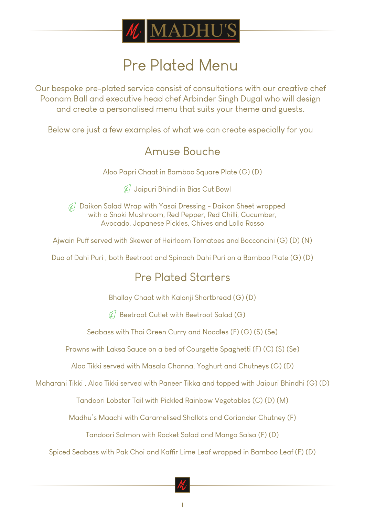

# Pre Plated Menu

Our bespoke pre-plated service consist of consultations with our creative chef Poonam Ball and executive head chef Arbinder Singh Dugal who will design and create a personalised menu that suits your theme and guests.

Below are just a few examples of what we can create especially for you

### Amuse Bouche

Aloo Papri Chaat in Bamboo Square Plate (G) (D)

Jaipuri Bhindi in Bias Cut Bowl

47 Daikon Salad Wrap with Yasai Dressing - Daikon Sheet wrapped with a Snoki Mushroom, Red Pepper, Red Chilli, Cucumber, Avocado, Japanese Pickles, Chives and Lollo Rosso

Ajwain Puff served with Skewer of Heirloom Tomatoes and Bocconcini (G) (D) (N)

Duo of Dahi Puri , both Beetroot and Spinach Dahi Puri on a Bamboo Plate (G) (D)

## Pre Plated Starters

Bhallay Chaat with Kalonji Shortbread (G) (D)

 $\mathcal{F}$  Beetroot Cutlet with Beetroot Salad (G)

Seabass with Thai Green Curry and Noodles (F) (G) (S) (Se)

Prawns with Laksa Sauce on a bed of Courgette Spaghetti (F) (C) (S) (Se)

Aloo Tikki served with Masala Channa, Yoghurt and Chutneys (G) (D)

Maharani Tikki , Aloo Tikki served with Paneer Tikka and topped with Jaipuri Bhindhi (G) (D)

Tandoori Lobster Tail with Pickled Rainbow Vegetables (C) (D) (M)

Madhu's Maachi with Caramelised Shallots and Coriander Chutney (F)

Tandoori Salmon with Rocket Salad and Mango Salsa (F) (D)

Spiced Seabass with Pak Choi and Kaffir Lime Leaf wrapped in Bamboo Leaf (F) (D)